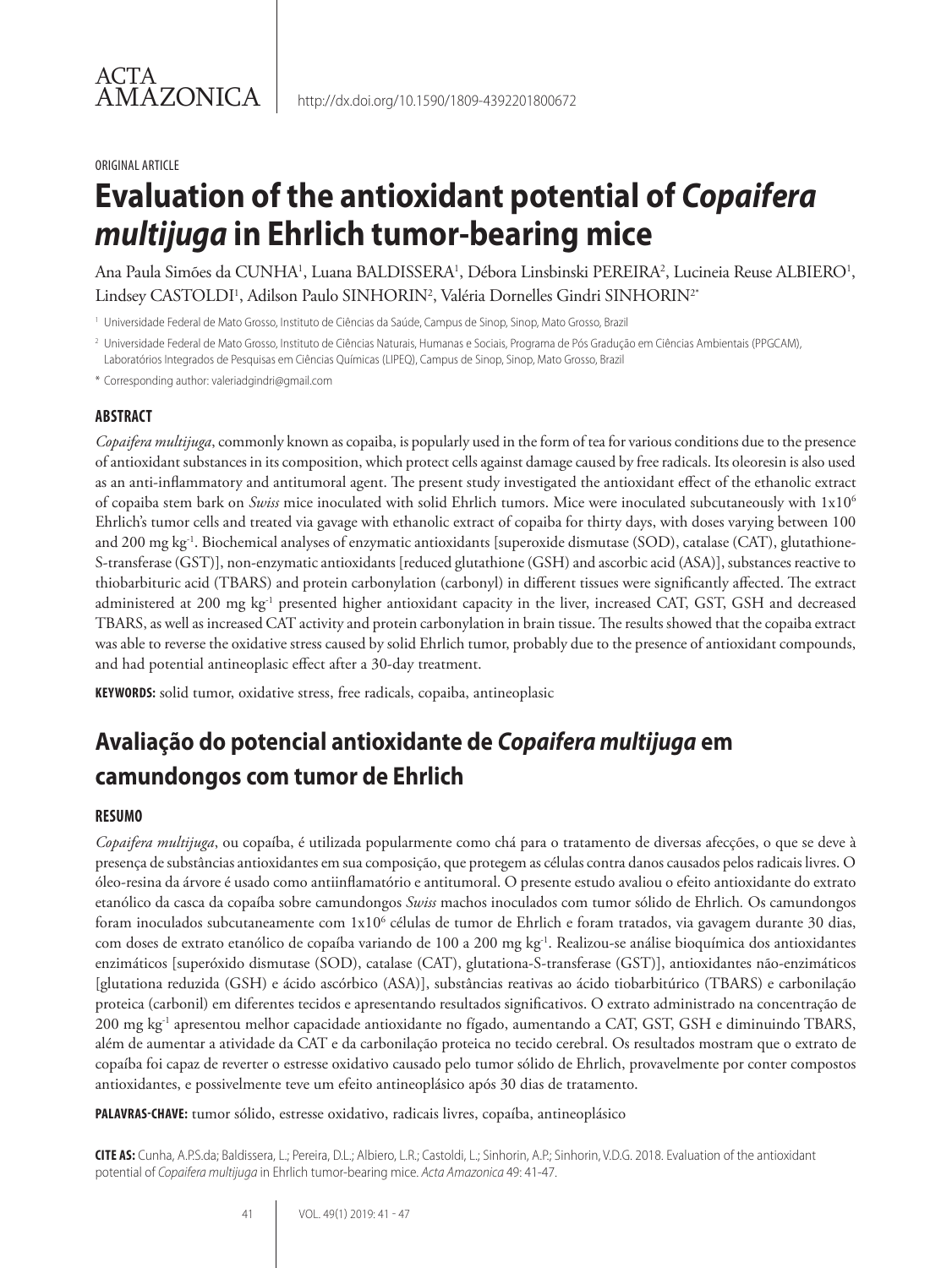#### ORIGINAL ARTICLE

# **Evaluation of the antioxidant potential of** *Copaifera multijuga* **in Ehrlich tumor-bearing mice**

Ana Paula Simões da CUNHA<sup>1</sup>, Luana BALDISSERA<sup>1</sup>, Débora Linsbinski PEREIRA<sup>2</sup>, Lucineia Reuse ALBIERO<sup>1</sup>, Lindsey CASTOLDI', Adilson Paulo SINHORIN<sup>2</sup>, Valéria Dornelles Gindri SINHORIN<sup>2</sup>'

<sup>1</sup> Universidade Federal de Mato Grosso, Instituto de Ciências da Saúde, Campus de Sinop, Sinop, Mato Grosso, Brazil

<sup>2</sup> Universidade Federal de Mato Grosso, Instituto de Ciências Naturais, Humanas e Sociais, Programa de Pós Gradução em Ciências Ambientais (PPGCAM), Laboratórios Integrados de Pesquisas em Ciências Químicas (LIPEQ), Campus de Sinop, Sinop, Mato Grosso, Brazil

\* Corresponding author: valeriadgindri@gmail.com

#### **ABSTRACT**

*Copaifera multijuga*, commonly known as copaiba, is popularly used in the form of tea for various conditions due to the presence of antioxidant substances in its composition, which protect cells against damage caused by free radicals. Its oleoresin is also used as an anti-inflammatory and antitumoral agent. The present study investigated the antioxidant effect of the ethanolic extract of copaiba stem bark on *Swiss* mice inoculated with solid Ehrlich tumors. Mice were inoculated subcutaneously with 1x106 Ehrlich's tumor cells and treated via gavage with ethanolic extract of copaiba for thirty days, with doses varying between 100 and 200 mg kg<sup>-1</sup>. Biochemical analyses of enzymatic antioxidants [superoxide dismutase (SOD), catalase (CAT), glutathione-S-transferase (GST)], non-enzymatic antioxidants [reduced glutathione (GSH) and ascorbic acid (ASA)], substances reactive to thiobarbituric acid (TBARS) and protein carbonylation (carbonyl) in different tissues were significantly affected. The extract administered at 200 mg kg<sup>-1</sup> presented higher antioxidant capacity in the liver, increased CAT, GST, GSH and decreased TBARS, as well as increased CAT activity and protein carbonylation in brain tissue. The results showed that the copaiba extract was able to reverse the oxidative stress caused by solid Ehrlich tumor, probably due to the presence of antioxidant compounds, and had potential antineoplasic effect after a 30-day treatment.

**KEYWORDS:** solid tumor, oxidative stress, free radicals, copaiba, antineoplasic

# **Avaliação do potencial antioxidante de** *Copaifera multijuga* **em camundongos com tumor de Ehrlich**

#### **RESUMO**

*Copaifera multijuga*, ou copaíba, é utilizada popularmente como chá para o tratamento de diversas afecções, o que se deve à presença de substâncias antioxidantes em sua composição, que protegem as células contra danos causados pelos radicais livres. O óleo-resina da árvore é usado como antiinflamatório e antitumoral. O presente estudo avaliou o efeito antioxidante do extrato etanólico da casca da copaíba sobre camundongos *Swiss* machos inoculados com tumor sólido de Ehrlich*.* Os camundongos foram inoculados subcutaneamente com 1x10<sup>6</sup> células de tumor de Ehrlich e foram tratados, via gavagem durante 30 dias, com doses de extrato etanólico de copaíba variando de 100 a 200 mg kg-1. Realizou-se análise bioquímica dos antioxidantes enzimáticos [superóxido dismutase (SOD), catalase (CAT), glutationa-S-transferase (GST)], antioxidantes não-enzimáticos [glutationa reduzida (GSH) e ácido ascórbico (ASA)], substâncias reativas ao ácido tiobarbitúrico (TBARS) e carbonilação proteica (carbonil) em diferentes tecidos e apresentando resultados significativos. O extrato administrado na concentração de 200 mg kg-1 apresentou melhor capacidade antioxidante no fígado, aumentando a CAT, GST, GSH e diminuindo TBARS, além de aumentar a atividade da CAT e da carbonilação proteica no tecido cerebral. Os resultados mostram que o extrato de copaíba foi capaz de reverter o estresse oxidativo causado pelo tumor sólido de Ehrlich, provavelmente por conter compostos antioxidantes, e possivelmente teve um efeito antineoplásico após 30 dias de tratamento.

**PALAVRAS-CHAVE:** tumor sólido, estresse oxidativo, radicais livres, copaíba, antineoplásico

**CITE AS:** Cunha, A.P.S.da; Baldissera, L.; Pereira, D.L.; Albiero, L.R.; Castoldi, L.; Sinhorin, A.P.; Sinhorin, V.D.G. 2018. Evaluation of the antioxidant potential of *Copaifera multijuga* in Ehrlich tumor-bearing mice. *Acta Amazonica* 49: 41-47.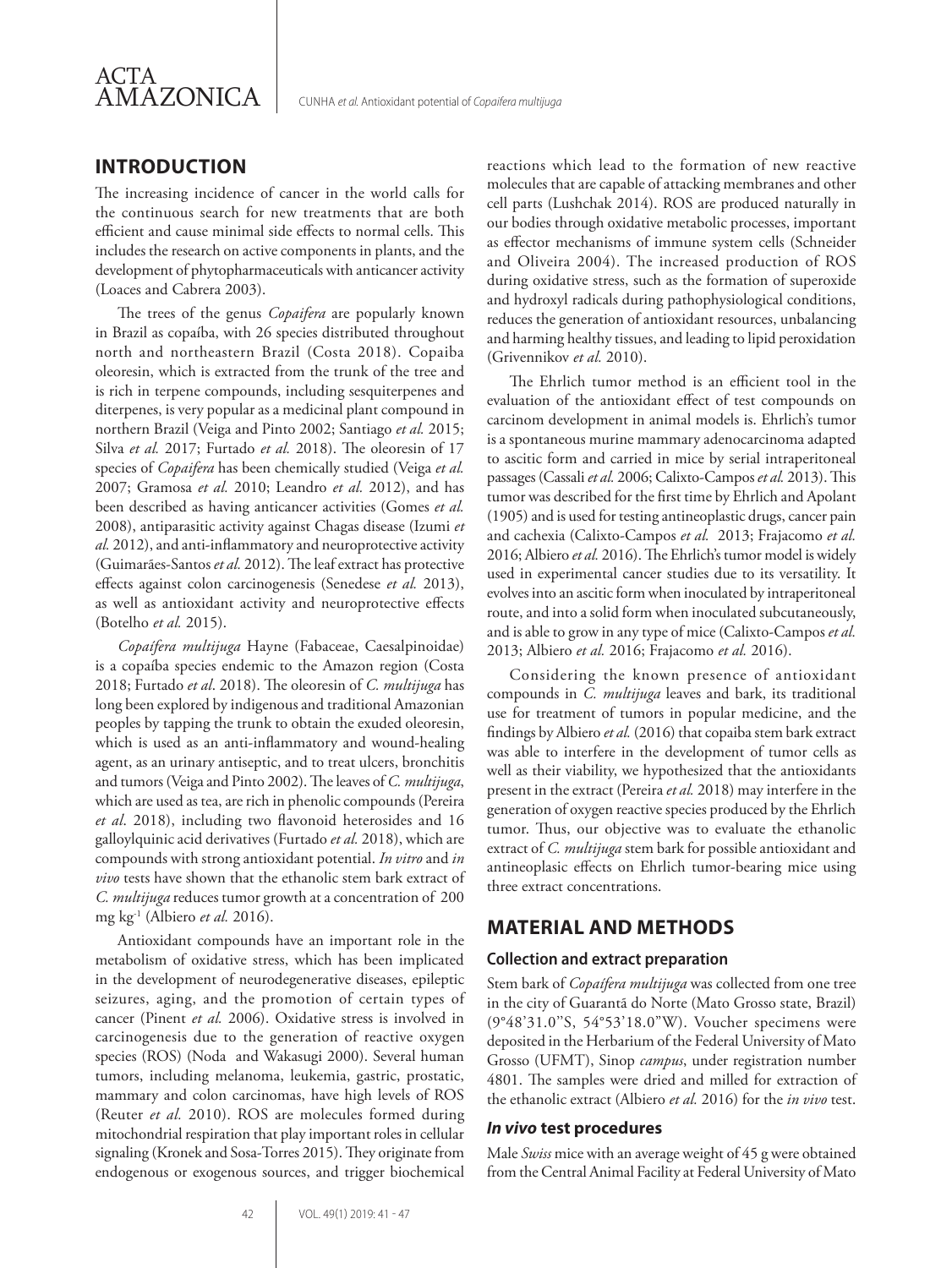

# **INTRODUCTION**

The increasing incidence of cancer in the world calls for the continuous search for new treatments that are both efficient and cause minimal side effects to normal cells. This includes the research on active components in plants, and the development of phytopharmaceuticals with anticancer activity (Loaces and Cabrera 2003).

The trees of the genus *Copaifera* are popularly known in Brazil as copaíba, with 26 species distributed throughout north and northeastern Brazil (Costa 2018). Copaiba oleoresin, which is extracted from the trunk of the tree and is rich in terpene compounds, including sesquiterpenes and diterpenes, is very popular as a medicinal plant compound in northern Brazil (Veiga and Pinto 2002; Santiago *et al.* 2015; Silva *et al.* 2017; Furtado *et al.* 2018). The oleoresin of 17 species of *Copaifera* has been chemically studied (Veiga *et al.* 2007; Gramosa *et al.* 2010; Leandro *et al.* 2012), and has been described as having anticancer activities (Gomes *et al.* 2008), antiparasitic activity against Chagas disease (Izumi *et al.* 2012), and anti-inflammatory and neuroprotective activity (Guimarães-Santos *et al.* 2012). The leaf extract has protective effects against colon carcinogenesis (Senedese *et al.* 2013), as well as antioxidant activity and neuroprotective effects (Botelho *et al.* 2015).

*Copaífera multijuga* Hayne (Fabaceae, Caesalpinoidae) is a copaíba species endemic to the Amazon region (Costa 2018; Furtado *et al*. 2018). The oleoresin of *C. multijuga* has long been explored by indigenous and traditional Amazonian peoples by tapping the trunk to obtain the exuded oleoresin, which is used as an anti-inflammatory and wound-healing agent, as an urinary antiseptic, and to treat ulcers, bronchitis and tumors (Veiga and Pinto 2002). The leaves of *C. multijuga*, which are used as tea, are rich in phenolic compounds (Pereira *et al*. 2018), including two flavonoid heterosides and 16 galloylquinic acid derivatives (Furtado *et al.* 2018), which are compounds with strong antioxidant potential. *In vitro* and *in vivo* tests have shown that the ethanolic stem bark extract of *C. multijuga* reduces tumor growth at a concentration of 200 mg kg-1 (Albiero *et al.* 2016).

Antioxidant compounds have an important role in the metabolism of oxidative stress, which has been implicated in the development of neurodegenerative diseases, epileptic seizures, aging, and the promotion of certain types of cancer (Pinent *et al.* 2006). Oxidative stress is involved in carcinogenesis due to the generation of reactive oxygen species (ROS) (Noda and Wakasugi 2000). Several human tumors, including melanoma, leukemia, gastric, prostatic, mammary and colon carcinomas, have high levels of ROS (Reuter *et al.* 2010). ROS are molecules formed during mitochondrial respiration that play important roles in cellular signaling (Kronek and Sosa-Torres 2015). They originate from endogenous or exogenous sources, and trigger biochemical

reactions which lead to the formation of new reactive molecules that are capable of attacking membranes and other cell parts (Lushchak 2014). ROS are produced naturally in our bodies through oxidative metabolic processes, important as effector mechanisms of immune system cells (Schneider and Oliveira 2004). The increased production of ROS during oxidative stress, such as the formation of superoxide and hydroxyl radicals during pathophysiological conditions, reduces the generation of antioxidant resources, unbalancing and harming healthy tissues, and leading to lipid peroxidation (Grivennikov *et al.* 2010).

The Ehrlich tumor method is an efficient tool in the evaluation of the antioxidant effect of test compounds on carcinom development in animal models is. Ehrlich's tumor is a spontaneous murine mammary adenocarcinoma adapted to ascitic form and carried in mice by serial intraperitoneal passages (Cassali *et al.* 2006; Calixto-Campos *et al.* 2013). This tumor was described for the first time by Ehrlich and Apolant (1905) and is used for testing antineoplastic drugs, cancer pain and cachexia (Calixto-Campos *et al.* 2013; Frajacomo *et al.*  2016; Albiero *et al.* 2016). The Ehrlich's tumor model is widely used in experimental cancer studies due to its versatility. It evolves into an ascitic form when inoculated by intraperitoneal route, and into a solid form when inoculated subcutaneously, and is able to grow in any type of mice (Calixto-Campos *et al.* 2013; Albiero *et al.* 2016; Frajacomo *et al.* 2016).

Considering the known presence of antioxidant compounds in *C. multijuga* leaves and bark, its traditional use for treatment of tumors in popular medicine, and the findings by Albiero *et al.* (2016) that copaiba stem bark extract was able to interfere in the development of tumor cells as well as their viability, we hypothesized that the antioxidants present in the extract (Pereira *et al.* 2018) may interfere in the generation of oxygen reactive species produced by the Ehrlich tumor. Thus, our objective was to evaluate the ethanolic extract of *C. multijuga* stem bark for possible antioxidant and antineoplasic effects on Ehrlich tumor-bearing mice using three extract concentrations.

# **MATERIAL AND METHODS**

#### **Collection and extract preparation**

Stem bark of *Copaífera multijuga* was collected from one tree in the city of Guarantã do Norte (Mato Grosso state, Brazil) (9°48'31.0''S, 54°53'18.0"W). Voucher specimens were deposited in the Herbarium of the Federal University of Mato Grosso (UFMT), Sinop *campus*, under registration number 4801. The samples were dried and milled for extraction of the ethanolic extract (Albiero *et al.* 2016) for the *in vivo* test.

#### *In vivo* **test procedures**

Male *Swiss* mice with an average weight of 45 g were obtained from the Central Animal Facility at Federal University of Mato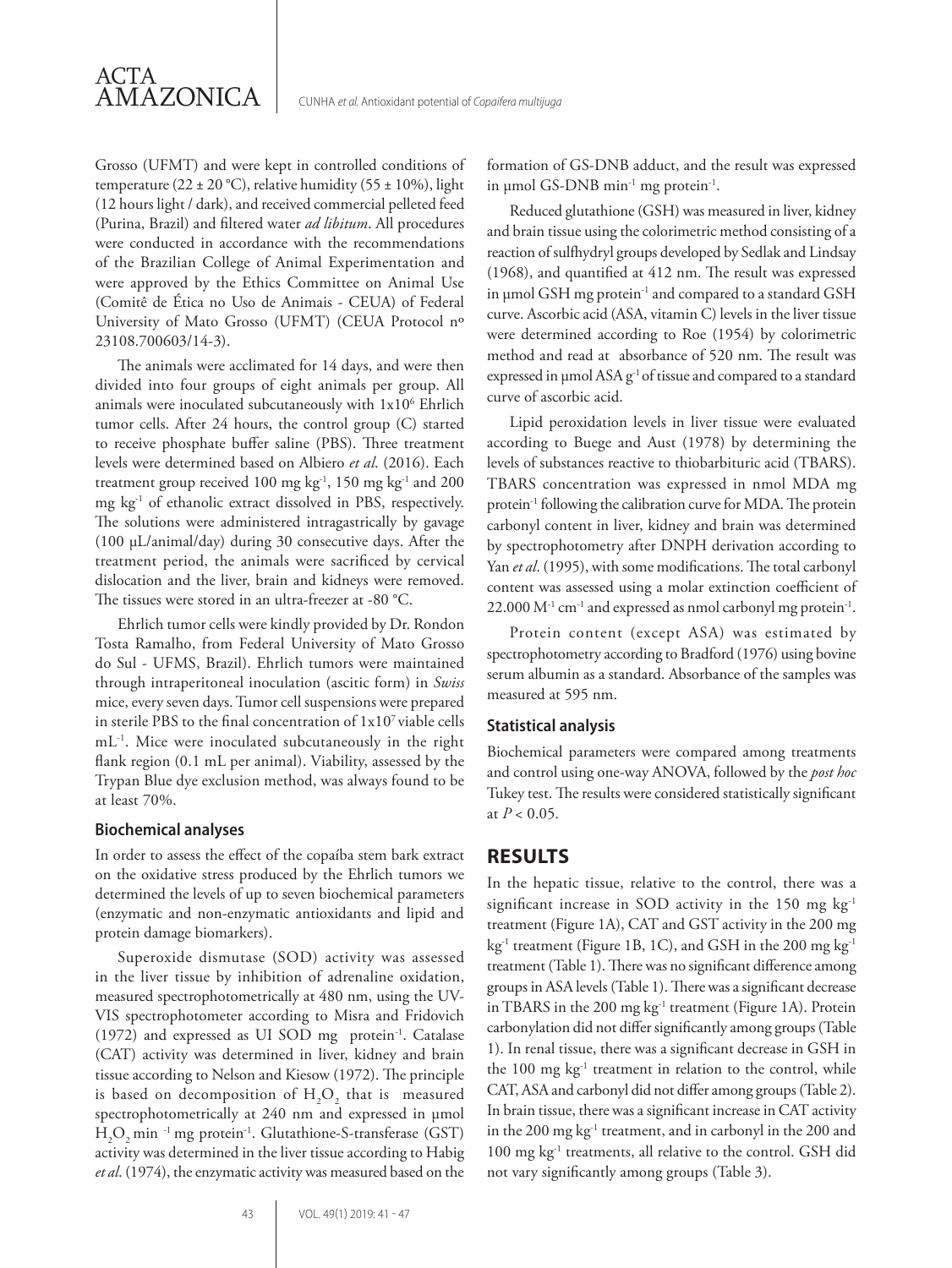Grosso (UFMT) and were kept in controlled conditions of temperature (22 ± 20 °C), relative humidity (55 ± 10%), light (12 hours light / dark), and received commercial pelleted feed (Purina, Brazil) and filtered water *ad libitum*. All procedures were conducted in accordance with the recommendations of the Brazilian College of Animal Experimentation and were approved by the Ethics Committee on Animal Use (Comitê de Ética no Uso de Animais - CEUA) of Federal University of Mato Grosso (UFMT) (CEUA Protocol nº 23108.700603/14-3).

The animals were acclimated for 14 days, and were then divided into four groups of eight animals per group. All animals were inoculated subcutaneously with  $1x10^6$  Ehrlich tumor cells. After 24 hours, the control group (C) started to receive phosphate buffer saline (PBS). Three treatment levels were determined based on Albiero *et al*. (2016). Each treatment group received 100 mg kg<sup>-1</sup>, 150 mg kg<sup>-1</sup> and 200 mg kg-1 of ethanolic extract dissolved in PBS, respectively. The solutions were administered intragastrically by gavage (100 μL/animal/day) during 30 consecutive days. After the treatment period, the animals were sacrificed by cervical dislocation and the liver, brain and kidneys were removed. The tissues were stored in an ultra-freezer at -80 °C.

Ehrlich tumor cells were kindly provided by Dr. Rondon Tosta Ramalho, from Federal University of Mato Grosso do Sul - UFMS, Brazil). Ehrlich tumors were maintained through intraperitoneal inoculation (ascitic form) in *Swiss* mice, every seven days. Tumor cell suspensions were prepared in sterile PBS to the final concentration of  $1x10<sup>7</sup>$  viable cells mL<sup>-1</sup>. Mice were inoculated subcutaneously in the right flank region (0.1 mL per animal). Viability, assessed by the Trypan Blue dye exclusion method, was always found to be at least 70%.

#### **Biochemical analyses**

In order to assess the effect of the copaíba stem bark extract on the oxidative stress produced by the Ehrlich tumors we determined the levels of up to seven biochemical parameters (enzymatic and non-enzymatic antioxidants and lipid and protein damage biomarkers).

Superoxide dismutase (SOD) activity was assessed in the liver tissue by inhibition of adrenaline oxidation, measured spectrophotometrically at 480 nm, using the UV-VIS spectrophotometer according to Misra and Fridovich (1972) and expressed as UI SOD mg protein-1. Catalase (CAT) activity was determined in liver, kidney and brain tissue according to Nelson and Kiesow (1972). The principle is based on decomposition of  $H_2O_2$  that is measured spectrophotometrically at 240 nm and expressed in μmol  $H_2O_2$  min <sup>-1</sup> mg protein<sup>-1</sup>. Glutathione-S-transferase (GST) activity was determined in the liver tissue according to Habig *et al*. (1974), the enzymatic activity was measured based on the

formation of GS-DNB adduct, and the result was expressed in μmol GS-DNB min-1 mg protein-1.

Reduced glutathione (GSH) was measured in liver, kidney and brain tissue using the colorimetric method consisting of a reaction of sulfhydryl groups developed by Sedlak and Lindsay (1968), and quantified at 412 nm. The result was expressed in μmol GSH mg protein-1 and compared to a standard GSH curve. Ascorbic acid (ASA, vitamin C) levels in the liver tissue were determined according to Roe (1954) by colorimetric method and read at absorbance of 520 nm. The result was expressed in μmol ASA g<sup>-1</sup> of tissue and compared to a standard curve of ascorbic acid.

Lipid peroxidation levels in liver tissue were evaluated according to Buege and Aust (1978) by determining the levels of substances reactive to thiobarbituric acid (TBARS). TBARS concentration was expressed in nmol MDA mg protein<sup>-1</sup> following the calibration curve for MDA. The protein carbonyl content in liver, kidney and brain was determined by spectrophotometry after DNPH derivation according to Yan *et al.* (1995), with some modifications. The total carbonyl content was assessed using a molar extinction coefficient of  $22.000 M<sup>-1</sup>$  cm<sup>-1</sup> and expressed as nmol carbonyl mg protein<sup>-1</sup>.

Protein content (except ASA) was estimated by spectrophotometry according to Bradford (1976) using bovine serum albumin as a standard. Absorbance of the samples was measured at 595 nm.

#### **Statistical analysis**

Biochemical parameters were compared among treatments and control using one-way ANOVA, followed by the *post hoc* Tukey test. The results were considered statistically significant at  $P < 0.05$ .

# **RESULTS**

In the hepatic tissue, relative to the control, there was a significant increase in SOD activity in the 150 mg kg-1 treatment (Figure 1A), CAT and GST activity in the 200 mg kg<sup>-1</sup> treatment (Figure 1B, 1C), and GSH in the 200 mg kg<sup>-1</sup> treatment (Table 1). There was no significant difference among groups in ASA levels (Table 1). There was a significant decrease in TBARS in the 200 mg kg<sup>-1</sup> treatment (Figure 1A). Protein carbonylation did not differ significantly among groups (Table 1). In renal tissue, there was a significant decrease in GSH in the 100 mg kg<sup>-1</sup> treatment in relation to the control, while CAT, ASA and carbonyl did not differ among groups (Table 2). In brain tissue, there was a significant increase in CAT activity in the 200 mg kg<sup>-1</sup> treatment, and in carbonyl in the 200 and 100 mg kg-1 treatments, all relative to the control. GSH did not vary significantly among groups (Table 3).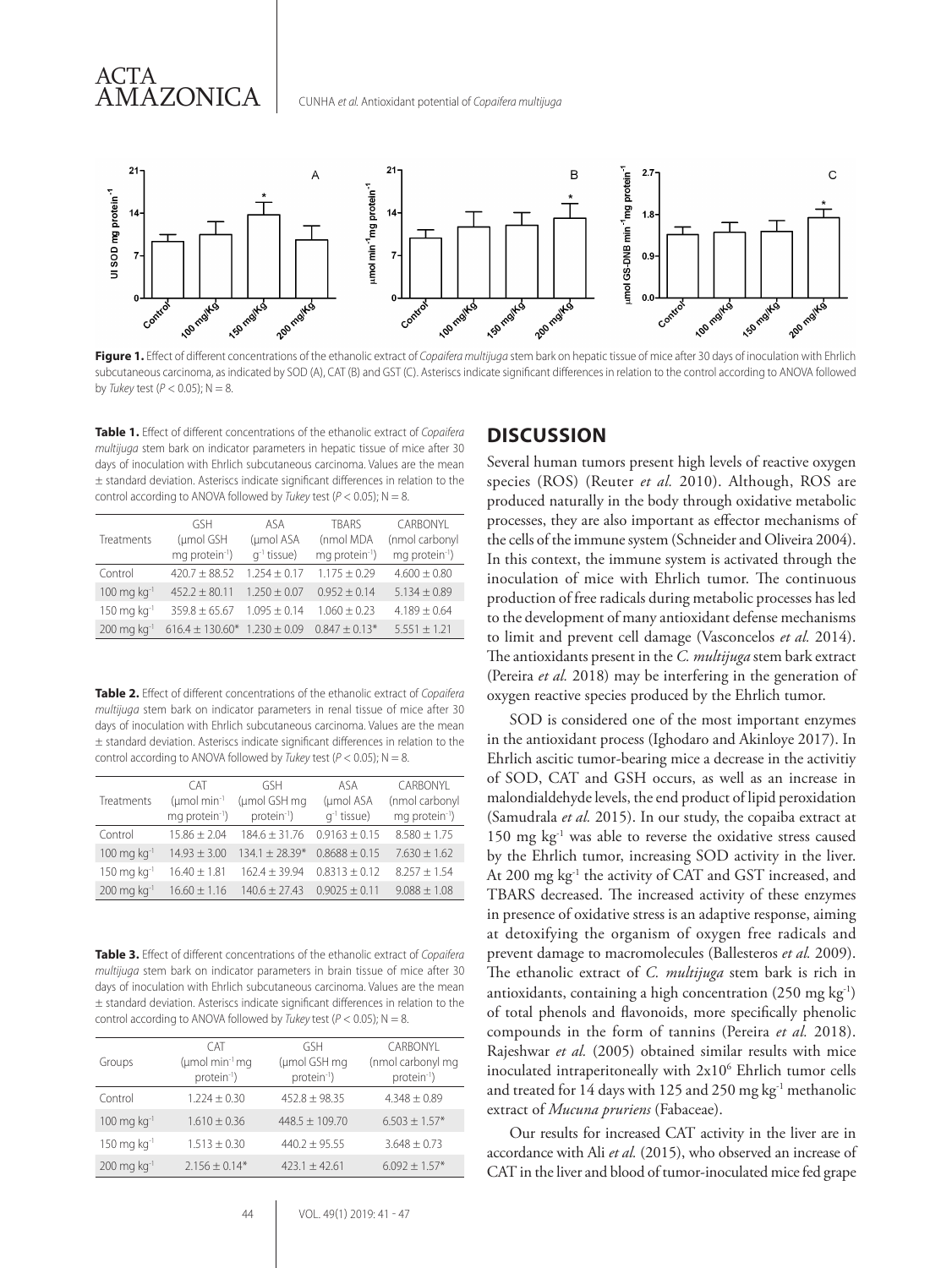

CUNHA *et al.* Antioxidant potential of *Copaifera multijuga*

**Figure 1.** Effect of different concentrations of the ethanolic extract of *Copaifera multijuga* stem bark on hepatic tissue of mice after 30 days of inoculation with Ehrlich subcutaneous carcinoma, as indicated by SOD (A), CAT (B) and GST (C). Asteriscs indicate significant differences in relation to the control according to ANOVA followed by *Tukey* test (*P* < 0.05); N = 8.

**Table 1.** Effect of different concentrations of the ethanolic extract of *Copaifera multijuga* stem bark on indicator parameters in hepatic tissue of mice after 30 days of inoculation with Ehrlich subcutaneous carcinoma. Values are the mean ± standard deviation. Asteriscs indicate significant differences in relation to the control according to ANOVA followed by *Tukey* test ( $P < 0.05$ ); N = 8.

ACTA

AMAZONICA

|                                        | GSH                                   | ASA              | <b>TRARS</b>               | CARBONYL                   |
|----------------------------------------|---------------------------------------|------------------|----------------------------|----------------------------|
| Treatments                             | (umol GSH                             | (µmol ASA        | (nmol MDA                  | (nmol carbonyl             |
|                                        | mg protein <sup>-1</sup> )            | $q^{-1}$ tissue) | mg protein <sup>-1</sup> ) | mg protein <sup>-1</sup> ) |
| Control                                | $420.7 + 88.52$                       | $1.254 + 0.17$   | $1.175 + 0.29$             | $4.600 \pm 0.80$           |
| $100 \text{ mg} \text{ kg}^{-1}$       | $452.2 \pm 80.11$                     | $1.250 \pm 0.07$ | $0.952 + 0.14$             | $5.134 \pm 0.89$           |
| $150 \,\mathrm{mg} \,\mathrm{kg}^{-1}$ | $359.8 + 65.67$                       | $1.095 \pm 0.14$ | $1.060 + 0.23$             | $4.189 \pm 0.64$           |
| $200 \,\mathrm{mg} \,\mathrm{kg}^{-1}$ | $616.4 \pm 130.60$ * $1.230 \pm 0.09$ |                  | $0.847 \pm 0.13*$          | $5.551 \pm 1.21$           |
|                                        |                                       |                  |                            |                            |

**Table 2.** Effect of different concentrations of the ethanolic extract of *Copaifera multijuga* stem bark on indicator parameters in renal tissue of mice after 30 days of inoculation with Ehrlich subcutaneous carcinoma. Values are the mean ± standard deviation. Asteriscs indicate significant differences in relation to the control according to ANOVA followed by *Tukey* test ( $P < 0.05$ ); N = 8.

|                                        | <b>CAT</b>                 | GSH                     | ASA               | CARBONYL                   |
|----------------------------------------|----------------------------|-------------------------|-------------------|----------------------------|
| Treatments                             | (umol min-1                | (umol GSH mg            | (umol ASA         | (nmol carbonyl             |
|                                        | mg protein <sup>-1</sup> ) | protein <sup>-1</sup> ) | $q^{-1}$ tissue)  | mq protein <sup>-1</sup> ) |
| Control                                | $15.86 \pm 2.04$           | $184.6 + 31.76$         | $0.9163 + 0.15$   | $8.580 + 1.75$             |
| $100 \text{ mg} \text{ kg}^{-1}$       | $14.93 \pm 3.00$           | $134.1 + 28.39*$        | $0.8688 + 0.15$   | $7.630 \pm 1.62$           |
| $150 \,\mathrm{mg} \,\mathrm{kg}^{-1}$ | $16.40 \pm 1.81$           | $162.4 \pm 39.94$       | $0.8313 + 0.12$   | $8.257 + 1.54$             |
| $200 \text{ mg} \text{ kg}^{-1}$       | $16.60 \pm 1.16$           | $140.6 \pm 27.43$       | $0.9025 \pm 0.11$ | $9.088 \pm 1.08$           |

**Table 3.** Effect of different concentrations of the ethanolic extract of *Copaifera multijuga* stem bark on indicator parameters in brain tissue of mice after 30 days of inoculation with Ehrlich subcutaneous carcinoma. Values are the mean ± standard deviation. Asteriscs indicate significant differences in relation to the control according to ANOVA followed by *Tukey* test ( $P < 0.05$ ); N = 8.

| Groups                                 | C AT<br>$(\mu \text{mol min}^{-1} \text{mg})$<br>protein <sup>-1</sup> ) | <b>GSH</b><br>(µmol GSH mg<br>protein <sup>-1</sup> ) | CARBONYL<br>(nmol carbonyl mg<br>protein <sup>-1</sup> ) |
|----------------------------------------|--------------------------------------------------------------------------|-------------------------------------------------------|----------------------------------------------------------|
| Control                                | $1.224 + 0.30$                                                           | $452.8 + 98.35$                                       | $4.348 \pm 0.89$                                         |
| $100 \,\mathrm{mg} \,\mathrm{kg}^{-1}$ | $1.610 \pm 0.36$                                                         | $448.5 \pm 109.70$                                    | $6.503 \pm 1.57$ *                                       |
| $150 \,\mathrm{mg} \,\mathrm{kg}^{-1}$ | $1.513 + 0.30$                                                           | $440.2 + 95.55$                                       | $3.648 \pm 0.73$                                         |
| $200 \,\mathrm{mg} \,\mathrm{kg}^{-1}$ | $2.156 \pm 0.14*$                                                        | $423.1 \pm 42.61$                                     | $6.092 + 1.57*$                                          |

#### **DISCUSSION**

Several human tumors present high levels of reactive oxygen species (ROS) (Reuter *et al.* 2010). Although, ROS are produced naturally in the body through oxidative metabolic processes, they are also important as effector mechanisms of the cells of the immune system (Schneider and Oliveira 2004). In this context, the immune system is activated through the inoculation of mice with Ehrlich tumor. The continuous production of free radicals during metabolic processes has led to the development of many antioxidant defense mechanisms to limit and prevent cell damage (Vasconcelos *et al.* 2014). The antioxidants present in the *C. multijuga* stem bark extract (Pereira *et al.* 2018) may be interfering in the generation of oxygen reactive species produced by the Ehrlich tumor.

SOD is considered one of the most important enzymes in the antioxidant process (Ighodaro and Akinloye 2017). In Ehrlich ascitic tumor-bearing mice a decrease in the activitiy of SOD, CAT and GSH occurs, as well as an increase in malondialdehyde levels, the end product of lipid peroxidation (Samudrala *et al.* 2015). In our study, the copaiba extract at 150 mg kg-1 was able to reverse the oxidative stress caused by the Ehrlich tumor, increasing SOD activity in the liver. At 200 mg kg-1 the activity of CAT and GST increased, and TBARS decreased. The increased activity of these enzymes in presence of oxidative stress is an adaptive response, aiming at detoxifying the organism of oxygen free radicals and prevent damage to macromolecules (Ballesteros *et al.* 2009). The ethanolic extract of *C. multijuga* stem bark is rich in antioxidants, containing a high concentration  $(250 \text{ mg kg}^{-1})$ of total phenols and flavonoids, more specifically phenolic compounds in the form of tannins (Pereira *et al.* 2018). Rajeshwar *et al.* (2005) obtained similar results with mice inoculated intraperitoneally with 2x10<sup>6</sup> Ehrlich tumor cells and treated for 14 days with 125 and 250 mg kg-1 methanolic extract of *Mucuna pruriens* (Fabaceae).

Our results for increased CAT activity in the liver are in accordance with Ali *et al.* (2015), who observed an increase of CAT in the liver and blood of tumor-inoculated mice fed grape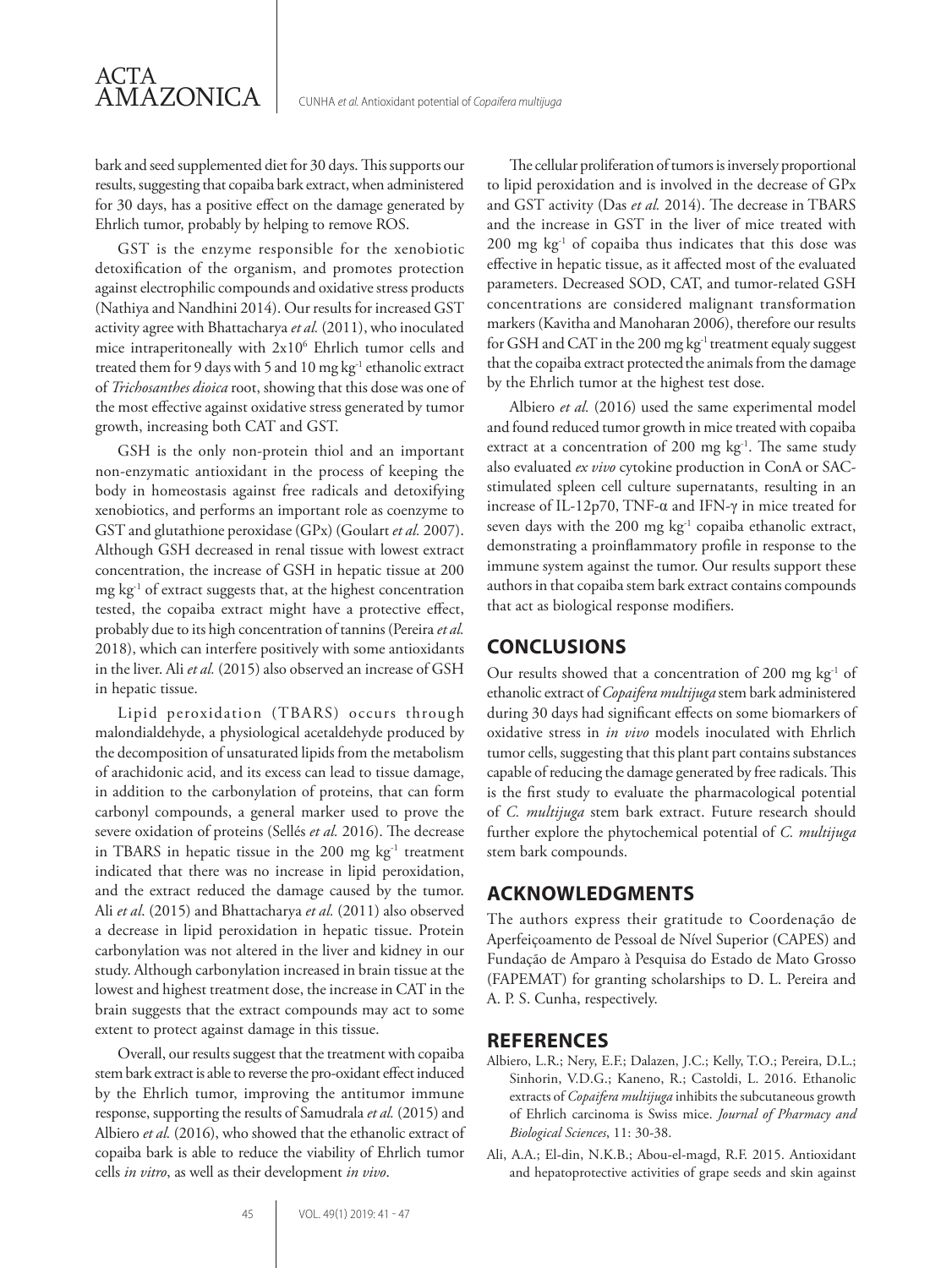bark and seed supplemented diet for 30 days. This supports our results, suggesting that copaiba bark extract, when administered for 30 days, has a positive effect on the damage generated by Ehrlich tumor, probably by helping to remove ROS.

GST is the enzyme responsible for the xenobiotic detoxification of the organism, and promotes protection against electrophilic compounds and oxidative stress products (Nathiya and Nandhini 2014). Our results for increased GST activity agree with Bhattacharya *et al.* (2011), who inoculated mice intraperitoneally with 2x10<sup>6</sup> Ehrlich tumor cells and treated them for 9 days with 5 and 10 mg kg<sup>-1</sup> ethanolic extract of *Trichosanthes dioica* root, showing that this dose was one of the most effective against oxidative stress generated by tumor growth, increasing both CAT and GST.

GSH is the only non-protein thiol and an important non-enzymatic antioxidant in the process of keeping the body in homeostasis against free radicals and detoxifying xenobiotics, and performs an important role as coenzyme to GST and glutathione peroxidase (GPx) (Goulart *et al.* 2007). Although GSH decreased in renal tissue with lowest extract concentration, the increase of GSH in hepatic tissue at 200 mg kg-1 of extract suggests that, at the highest concentration tested, the copaiba extract might have a protective effect, probably due to its high concentration of tannins (Pereira *et al.* 2018), which can interfere positively with some antioxidants in the liver. Ali *et al.* (2015) also observed an increase of GSH in hepatic tissue.

Lipid peroxidation (TBARS) occurs through malondialdehyde, a physiological acetaldehyde produced by the decomposition of unsaturated lipids from the metabolism of arachidonic acid, and its excess can lead to tissue damage, in addition to the carbonylation of proteins, that can form carbonyl compounds, a general marker used to prove the severe oxidation of proteins (Sellés *et al.* 2016). The decrease in TBARS in hepatic tissue in the  $200$  mg  $\text{kg}^{-1}$  treatment indicated that there was no increase in lipid peroxidation, and the extract reduced the damage caused by the tumor. Ali *et al*. (2015) and Bhattacharya *et al.* (2011) also observed a decrease in lipid peroxidation in hepatic tissue. Protein carbonylation was not altered in the liver and kidney in our study. Although carbonylation increased in brain tissue at the lowest and highest treatment dose, the increase in CAT in the brain suggests that the extract compounds may act to some extent to protect against damage in this tissue.

Overall, our results suggest that the treatment with copaiba stem bark extract is able to reverse the pro-oxidant effect induced by the Ehrlich tumor, improving the antitumor immune response, supporting the results of Samudrala *et al.* (2015) and Albiero et al. (2016), who showed that the ethanolic extract of copaiba bark is able to reduce the viability of Ehrlich tumor cells *in vitro*, as well as their development *in vivo*.

The cellular proliferation of tumors is inversely proportional to lipid peroxidation and is involved in the decrease of GPx and GST activity (Das *et al.* 2014). The decrease in TBARS and the increase in GST in the liver of mice treated with 200 mg kg-1 of copaiba thus indicates that this dose was effective in hepatic tissue, as it affected most of the evaluated parameters. Decreased SOD, CAT, and tumor-related GSH concentrations are considered malignant transformation markers (Kavitha and Manoharan 2006), therefore our results for GSH and CAT in the 200 mg kg<sup>-1</sup> treatment equaly suggest that the copaiba extract protected the animals from the damage by the Ehrlich tumor at the highest test dose.

Albiero *et al.* (2016) used the same experimental model and found reduced tumor growth in mice treated with copaiba extract at a concentration of 200 mg  $kg<sup>-1</sup>$ . The same study also evaluated *ex vivo* cytokine production in ConA or SACstimulated spleen cell culture supernatants, resulting in an increase of IL-12p70, TNF-α and IFN-γ in mice treated for seven days with the 200 mg kg<sup>-1</sup> copaiba ethanolic extract, demonstrating a proinflammatory profile in response to the immune system against the tumor. Our results support these authors in that copaiba stem bark extract contains compounds that act as biological response modifiers.

# **CONCLUSIONS**

Our results showed that a concentration of 200 mg kg<sup>-1</sup> of ethanolic extract of *Copaifera multijuga* stem bark administered during 30 days had significant effects on some biomarkers of oxidative stress in *in vivo* models inoculated with Ehrlich tumor cells, suggesting that this plant part contains substances capable of reducing the damage generated by free radicals. This is the first study to evaluate the pharmacological potential of *C. multijuga* stem bark extract. Future research should further explore the phytochemical potential of *C. multijuga* stem bark compounds.

# **ACKNOWLEDGMENTS**

The authors express their gratitude to Coordenação de Aperfeiçoamento de Pessoal de Nível Superior (CAPES) and Fundação de Amparo à Pesquisa do Estado de Mato Grosso (FAPEMAT) for granting scholarships to D. L. Pereira and A. P. S. Cunha, respectively.

#### **REFERENCES**

- Albiero, L.R.; Nery, E.F.; Dalazen, J.C.; Kelly, T.O.; Pereira, D.L.; Sinhorin, V.D.G.; Kaneno, R.; Castoldi, L. 2016. Ethanolic extracts of *Copaifera multijuga* inhibits the subcutaneous growth of Ehrlich carcinoma is Swiss mice. *Journal of Pharmacy and Biological Sciences*, 11: 30-38.
- Ali, A.A.; El-din, N.K.B.; Abou-el-magd, R.F. 2015. Antioxidant and hepatoprotective activities of grape seeds and skin against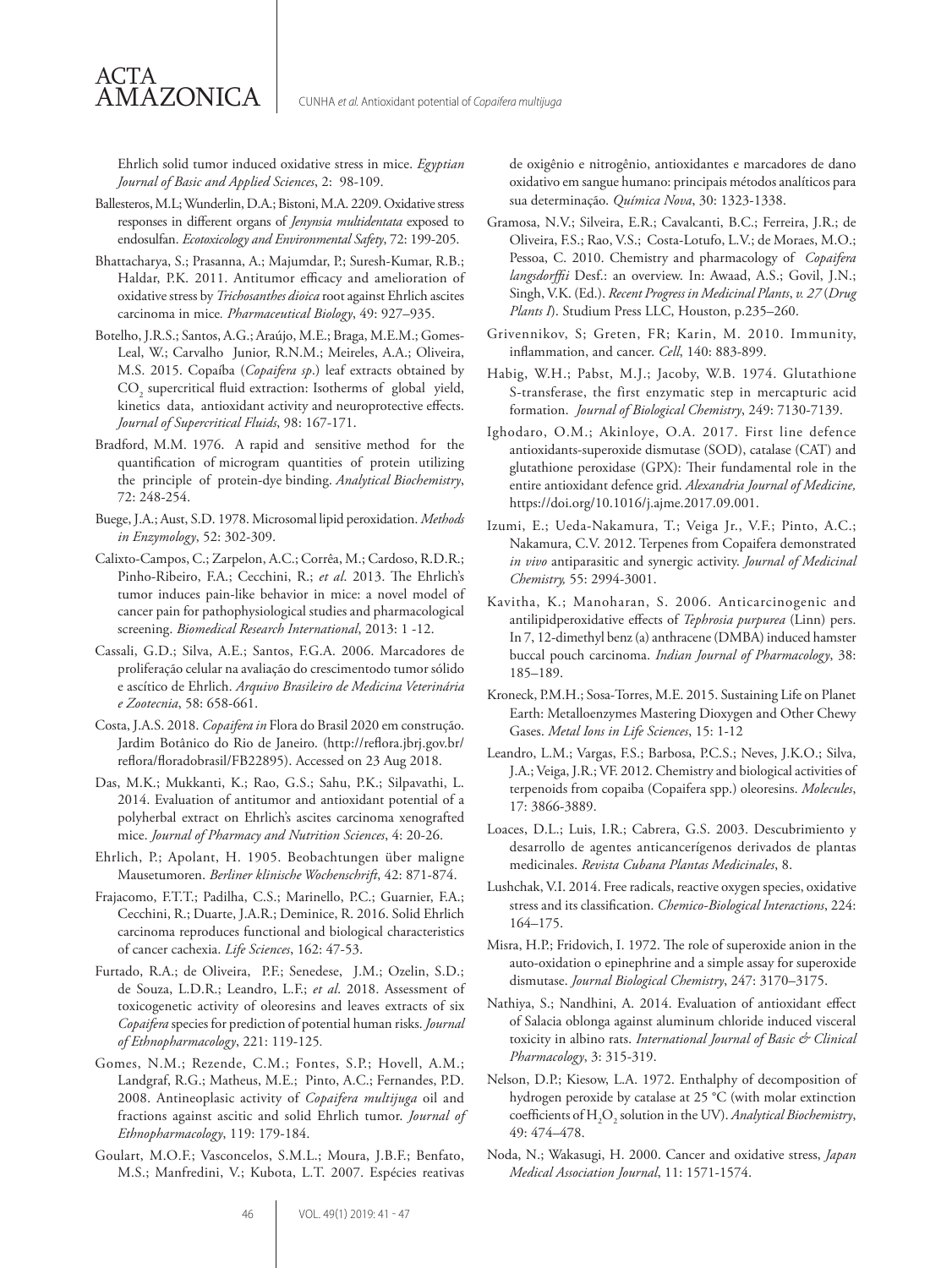Ehrlich solid tumor induced oxidative stress in mice. *Egyptian Journal of Basic and Applied Sciences*, 2: 98-109.

Ballesteros, M.L; Wunderlin, D.A.; Bistoni, M.A. 2209. Oxidative stress responses in different organs of *Jenynsia multidentata* exposed to endosulfan. *Ecotoxicology and Environmental Safety*, 72: 199-205.

ACTA

AMAZONICA

- Bhattacharya, S.; Prasanna, A.; Majumdar, P.; Suresh-Kumar, R.B.; Haldar, P.K. 2011. Antitumor efficacy and amelioration of oxidative stress by *Trichosanthes dioica* root against Ehrlich ascites carcinoma in mice*. Pharmaceutical Biology*, 49: 927–935.
- Botelho, J.R.S.; Santos, A.G.; Araújo, M.E.; Braga, M.E.M.; Gomes-Leal, W.; Carvalho Junior, R.N.M.; Meireles, A.A.; Oliveira, M.S. 2015. Copaíba (*Copaifera sp*.) leaf extracts obtained by  $\text{CO}_2$  supercritical fluid extraction: Isotherms of global yield, kinetics data, antioxidant activity and neuroprotective effects. *Journal of Supercritical Fluids*, 98: 167-171.
- Bradford, M.M. 1976. A rapid and sensitive method for the quantification of microgram quantities of protein utilizing the principle of protein-dye binding. *Analytical Biochemistry*, 72: 248-254.
- Buege, J.A.; Aust, S.D. 1978. Microsomal lipid peroxidation. *Methods in Enzymology*, 52: 302-309.
- Calixto-Campos, C.; Zarpelon, A.C.; Corrêa, M.; Cardoso, R.D.R.; Pinho-Ribeiro, F.A.; Cecchini, R.; *et al*. 2013. The Ehrlich's tumor induces pain-like behavior in mice: a novel model of cancer pain for pathophysiological studies and pharmacological screening. *Biomedical Research International*, 2013: 1 -12.
- Cassali, G.D.; Silva, A.E.; Santos, F.G.A. 2006. Marcadores de proliferação celular na avaliação do crescimentodo tumor sólido e ascítico de Ehrlich. *Arquivo Brasileiro de Medicina Veterinária e Zootecnia*, 58: 658-661.
- Costa, J.A.S. 2018. *Copaifera in* Flora do Brasil 2020 em construção. Jardim Botânico do Rio de Janeiro. (http://reflora.jbrj.gov.br/ reflora/floradobrasil/FB22895). Accessed on 23 Aug 2018.
- Das, M.K.; Mukkanti, K.; Rao, G.S.; Sahu, P.K.; Silpavathi, L. 2014. Evaluation of antitumor and antioxidant potential of a polyherbal extract on Ehrlich's ascites carcinoma xenografted mice. *Journal of Pharmacy and Nutrition Sciences*, 4: 20-26.
- Ehrlich, P.; Apolant, H. 1905. Beobachtungen über maligne Mausetumoren. *Berliner klinische Wochenschrift*, 42: 871-874.
- Frajacomo, F.T.T.; Padilha, C.S.; Marinello, P.C.; Guarnier, F.A.; Cecchini, R.; Duarte, J.A.R.; Deminice, R. 2016. Solid Ehrlich carcinoma reproduces functional and biological characteristics of cancer cachexia. *Life Sciences*, 162: 47-53.
- Furtado, R.A.; de Oliveira, P.F.; Senedese, J.M.; Ozelin, S.D.; de Souza, L.D.R.; Leandro, L.F.; *et al*. 2018. Assessment of toxicogenetic activity of oleoresins and leaves extracts of six *Copaifera* species for prediction of potential human risks. *Journal of Ethnopharmacology*, 221: 119-125*.*
- Gomes, N.M.; Rezende, C.M.; Fontes, S.P.; Hovell, A.M.; Landgraf, R.G.; Matheus, M.E.; Pinto, A.C.; Fernandes, P.D. 2008. Antineoplasic activity of *Copaifera multijuga* oil and fractions against ascitic and solid Ehrlich tumor. *Journal of Ethnopharmacology*, 119: 179-184.
- Goulart, M.O.F.; Vasconcelos, S.M.L.; Moura, J.B.F.; Benfato, M.S.; Manfredini, V.; Kubota, L.T. 2007. Espécies reativas

de oxigênio e nitrogênio, antioxidantes e marcadores de dano oxidativo em sangue humano: principais métodos analíticos para sua determinação. *Química Nova*, 30: 1323-1338.

- Gramosa, N.V.; Silveira, E.R.; Cavalcanti, B.C.; Ferreira, J.R.; de Oliveira, F.S.; Rao, V.S.; Costa-Lotufo, L.V.; de Moraes, M.O.; Pessoa, C. 2010. Chemistry and pharmacology of *Copaifera langsdorffii* Desf.: an overview. In: Awaad, A.S.; Govil, J.N.; Singh, V.K. (Ed.). *Recent Progress in Medicinal Plants*, *v. 27* (*Drug Plants I*). Studium Press LLC, Houston, p.235–260.
- Grivennikov, S; Greten, FR; Karin, M. 2010. Immunity, inflammation, and cancer. *Cell*, 140: 883-899.
- Habig, W.H.; Pabst, M.J.; Jacoby, W.B. 1974. Glutathione S-transferase, the first enzymatic step in mercapturic acid formation. *Journal of Biological Chemistry*, 249: 7130-7139.
- Ighodaro, O.M.; Akinloye, O.A. 2017. First line defence antioxidants-superoxide dismutase (SOD), catalase (CAT) and glutathione peroxidase (GPX): Their fundamental role in the entire antioxidant defence grid. *Alexandria Journal of Medicine,*  https://doi.org/10.1016/j.ajme.2017.09.001.
- Izumi, E.; Ueda-Nakamura, T.; Veiga Jr., V.F.; Pinto, A.C.; Nakamura, C.V. 2012. Terpenes from Copaifera demonstrated *in vivo* antiparasitic and synergic activity. *Journal of Medicinal Chemistry,* 55: 2994-3001.
- Kavitha, K.; Manoharan, S. 2006. Anticarcinogenic and antilipidperoxidative effects of *Tephrosia purpurea* (Linn) pers. In 7, 12-dimethyl benz (a) anthracene (DMBA) induced hamster buccal pouch carcinoma. *Indian Journal of Pharmacology*, 38: 185–189.
- Kroneck, P.M.H.; Sosa-Torres, M.E. 2015. Sustaining Life on Planet Earth: Metalloenzymes Mastering Dioxygen and Other Chewy Gases. *Metal Ions in Life Sciences*, 15: 1-12
- Leandro, L.M.; Vargas, F.S.; Barbosa, P.C.S.; Neves, J.K.O.; Silva, J.A.; Veiga, J.R.; VF. 2012. Chemistry and biological activities of terpenoids from copaiba (Copaifera spp.) oleoresins. *Molecules*, 17: 3866-3889.
- Loaces, D.L.; Luis, I.R.; Cabrera, G.S. 2003. Descubrimiento y desarrollo de agentes anticancerígenos derivados de plantas medicinales. *Revista Cubana Plantas Medicinales*, 8.
- Lushchak, V.I. 2014. Free radicals, reactive oxygen species, oxidative stress and its classification. *Chemico-Biological Interactions*, 224: 164–175.
- Misra, H.P.; Fridovich, I. 1972. The role of superoxide anion in the auto-oxidation o epinephrine and a simple assay for superoxide dismutase. *Journal Biological Chemistry*, 247: 3170–3175.
- Nathiya, S.; Nandhini, A. 2014. Evaluation of antioxidant effect of Salacia oblonga against aluminum chloride induced visceral toxicity in albino rats. *International Journal of Basic & Clinical Pharmacology*, 3: 315-319.
- Nelson, D.P.; Kiesow, L.A. 1972. Enthalphy of decomposition of hydrogen peroxide by catalase at 25 °C (with molar extinction coefficients of H2 O2 solution in the UV). *Analytical Biochemistry*, 49: 474–478.
- Noda, N.; Wakasugi, H. 2000. Cancer and oxidative stress, *Japan Medical Association Journal*, 11: 1571-1574.